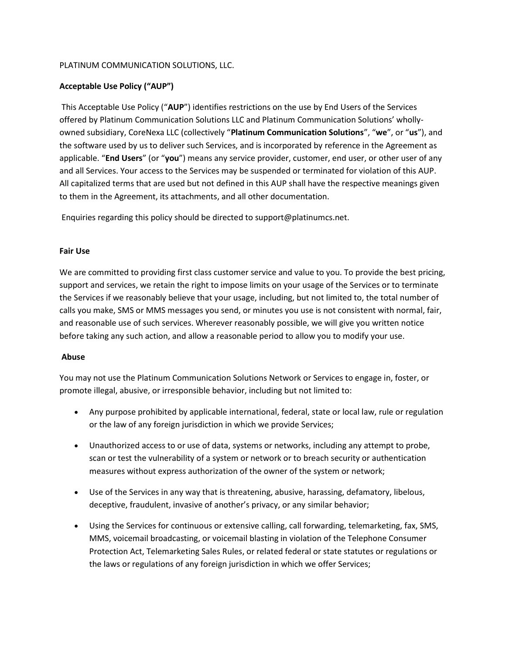## PLATINUM COMMUNICATION SOLUTIONS, LLC.

# Acceptable Use Policy ("AUP")

 This Acceptable Use Policy ("AUP") identifies restrictions on the use by End Users of the Services offered by Platinum Communication Solutions LLC and Platinum Communication Solutions' whollyowned subsidiary, CoreNexa LLC (collectively "Platinum Communication Solutions", "we", or "us"), and the software used by us to deliver such Services, and is incorporated by reference in the Agreement as applicable. "End Users" (or "you") means any service provider, customer, end user, or other user of any and all Services. Your access to the Services may be suspended or terminated for violation of this AUP. All capitalized terms that are used but not defined in this AUP shall have the respective meanings given to them in the Agreement, its attachments, and all other documentation.

Enquiries regarding this policy should be directed to support@platinumcs.net.

## Fair Use

We are committed to providing first class customer service and value to you. To provide the best pricing, support and services, we retain the right to impose limits on your usage of the Services or to terminate the Services if we reasonably believe that your usage, including, but not limited to, the total number of calls you make, SMS or MMS messages you send, or minutes you use is not consistent with normal, fair, and reasonable use of such services. Wherever reasonably possible, we will give you written notice before taking any such action, and allow a reasonable period to allow you to modify your use.

## Abuse

You may not use the Platinum Communication Solutions Network or Services to engage in, foster, or promote illegal, abusive, or irresponsible behavior, including but not limited to:

- Any purpose prohibited by applicable international, federal, state or local law, rule or regulation or the law of any foreign jurisdiction in which we provide Services;
- Unauthorized access to or use of data, systems or networks, including any attempt to probe, scan or test the vulnerability of a system or network or to breach security or authentication measures without express authorization of the owner of the system or network;
- Use of the Services in any way that is threatening, abusive, harassing, defamatory, libelous, deceptive, fraudulent, invasive of another's privacy, or any similar behavior;
- Using the Services for continuous or extensive calling, call forwarding, telemarketing, fax, SMS, MMS, voicemail broadcasting, or voicemail blasting in violation of the Telephone Consumer Protection Act, Telemarketing Sales Rules, or related federal or state statutes or regulations or the laws or regulations of any foreign jurisdiction in which we offer Services;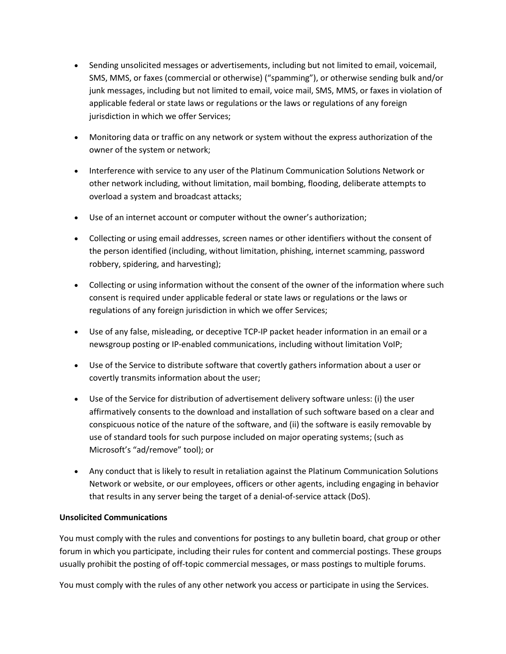- Sending unsolicited messages or advertisements, including but not limited to email, voicemail, SMS, MMS, or faxes (commercial or otherwise) ("spamming"), or otherwise sending bulk and/or junk messages, including but not limited to email, voice mail, SMS, MMS, or faxes in violation of applicable federal or state laws or regulations or the laws or regulations of any foreign jurisdiction in which we offer Services;
- Monitoring data or traffic on any network or system without the express authorization of the owner of the system or network;
- Interference with service to any user of the Platinum Communication Solutions Network or other network including, without limitation, mail bombing, flooding, deliberate attempts to overload a system and broadcast attacks;
- Use of an internet account or computer without the owner's authorization;
- Collecting or using email addresses, screen names or other identifiers without the consent of the person identified (including, without limitation, phishing, internet scamming, password robbery, spidering, and harvesting);
- Collecting or using information without the consent of the owner of the information where such consent is required under applicable federal or state laws or regulations or the laws or regulations of any foreign jurisdiction in which we offer Services;
- Use of any false, misleading, or deceptive TCP-IP packet header information in an email or a newsgroup posting or IP-enabled communications, including without limitation VoIP;
- Use of the Service to distribute software that covertly gathers information about a user or covertly transmits information about the user;
- Use of the Service for distribution of advertisement delivery software unless: (i) the user affirmatively consents to the download and installation of such software based on a clear and conspicuous notice of the nature of the software, and (ii) the software is easily removable by use of standard tools for such purpose included on major operating systems; (such as Microsoft's "ad/remove" tool); or
- Any conduct that is likely to result in retaliation against the Platinum Communication Solutions Network or website, or our employees, officers or other agents, including engaging in behavior that results in any server being the target of a denial-of-service attack (DoS).

## Unsolicited Communications

You must comply with the rules and conventions for postings to any bulletin board, chat group or other forum in which you participate, including their rules for content and commercial postings. These groups usually prohibit the posting of off-topic commercial messages, or mass postings to multiple forums.

You must comply with the rules of any other network you access or participate in using the Services.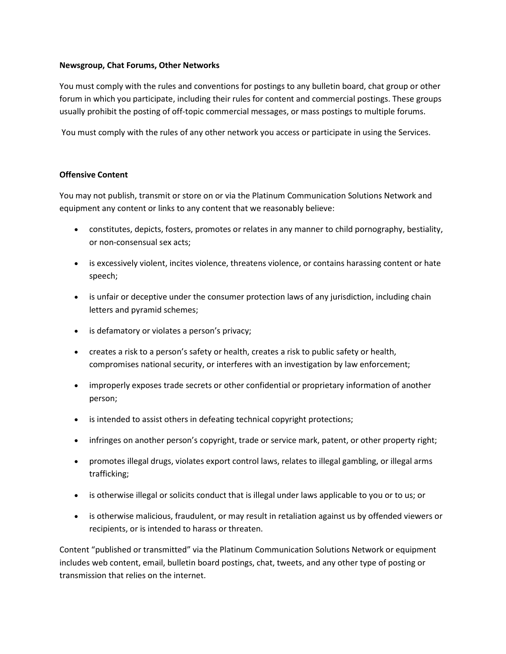### Newsgroup, Chat Forums, Other Networks

You must comply with the rules and conventions for postings to any bulletin board, chat group or other forum in which you participate, including their rules for content and commercial postings. These groups usually prohibit the posting of off-topic commercial messages, or mass postings to multiple forums.

You must comply with the rules of any other network you access or participate in using the Services.

## Offensive Content

You may not publish, transmit or store on or via the Platinum Communication Solutions Network and equipment any content or links to any content that we reasonably believe:

- constitutes, depicts, fosters, promotes or relates in any manner to child pornography, bestiality, or non-consensual sex acts;
- is excessively violent, incites violence, threatens violence, or contains harassing content or hate speech;
- is unfair or deceptive under the consumer protection laws of any jurisdiction, including chain letters and pyramid schemes;
- is defamatory or violates a person's privacy;
- creates a risk to a person's safety or health, creates a risk to public safety or health, compromises national security, or interferes with an investigation by law enforcement;
- improperly exposes trade secrets or other confidential or proprietary information of another person;
- is intended to assist others in defeating technical copyright protections;
- infringes on another person's copyright, trade or service mark, patent, or other property right;
- promotes illegal drugs, violates export control laws, relates to illegal gambling, or illegal arms trafficking;
- is otherwise illegal or solicits conduct that is illegal under laws applicable to you or to us; or
- is otherwise malicious, fraudulent, or may result in retaliation against us by offended viewers or recipients, or is intended to harass or threaten.

Content "published or transmitted" via the Platinum Communication Solutions Network or equipment includes web content, email, bulletin board postings, chat, tweets, and any other type of posting or transmission that relies on the internet.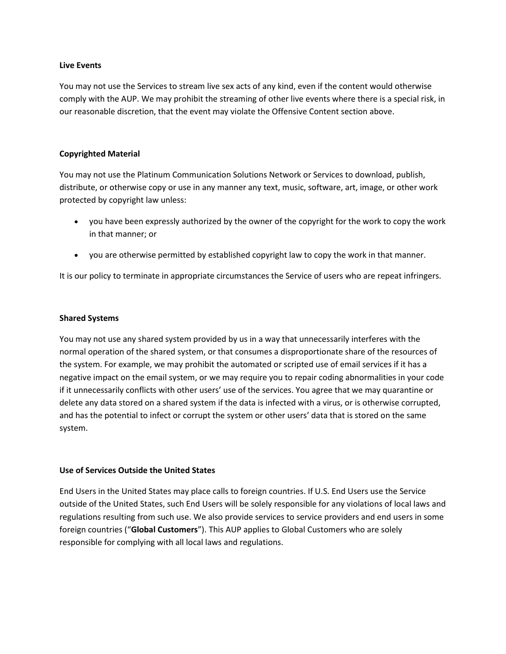#### Live Events

You may not use the Services to stream live sex acts of any kind, even if the content would otherwise comply with the AUP. We may prohibit the streaming of other live events where there is a special risk, in our reasonable discretion, that the event may violate the Offensive Content section above.

### Copyrighted Material

You may not use the Platinum Communication Solutions Network or Services to download, publish, distribute, or otherwise copy or use in any manner any text, music, software, art, image, or other work protected by copyright law unless:

- you have been expressly authorized by the owner of the copyright for the work to copy the work in that manner; or
- you are otherwise permitted by established copyright law to copy the work in that manner.

It is our policy to terminate in appropriate circumstances the Service of users who are repeat infringers.

#### Shared Systems

You may not use any shared system provided by us in a way that unnecessarily interferes with the normal operation of the shared system, or that consumes a disproportionate share of the resources of the system. For example, we may prohibit the automated or scripted use of email services if it has a negative impact on the email system, or we may require you to repair coding abnormalities in your code if it unnecessarily conflicts with other users' use of the services. You agree that we may quarantine or delete any data stored on a shared system if the data is infected with a virus, or is otherwise corrupted, and has the potential to infect or corrupt the system or other users' data that is stored on the same system.

#### Use of Services Outside the United States

End Users in the United States may place calls to foreign countries. If U.S. End Users use the Service outside of the United States, such End Users will be solely responsible for any violations of local laws and regulations resulting from such use. We also provide services to service providers and end users in some foreign countries ("Global Customers"). This AUP applies to Global Customers who are solely responsible for complying with all local laws and regulations.